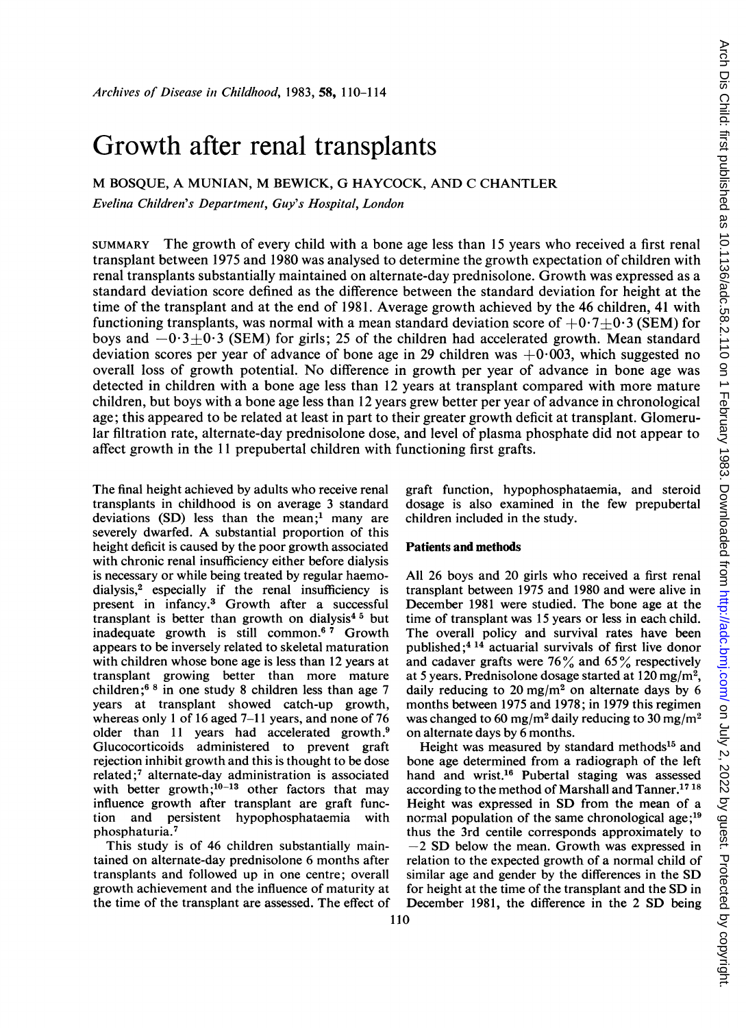# Growth after renal transplants

M BOSQUE, A MUNIAN, M BEWICK, G HAYCOCK, AND C CHANTLER

Evelina Children's Department, Guy's Hospital, London

SUMMARY The growth of every child with a bone age less than 15 years who received a first renal transplant between 1975 and 1980 was analysed to determine the growth expectation of children with renal transplants substantially maintained on alternate-day prednisolone. Growth was expressed as a standard deviation score defined as the difference between the standard deviation for height at the time of the transplant and at the end of 1981. Average growth achieved by the 46 children, 41 with functioning transplants, was normal with a mean standard deviation score of  $+0.7+0.3$  (SEM) for boys and  $-0.3+0.3$  (SEM) for girls; 25 of the children had accelerated growth. Mean standard deviation scores per year of advance of bone age in 29 children was  $+0.003$ , which suggested no overall loss of growth potential. No difference in growth per year of advance in bone age was detected in children with a bone age less than 12 years at transplant compared with more mature children, but boys with a bone age less than 12 years grew better per year of advance in chronological age; this appeared to be related at least in part to their greater growth deficit at transplant. Glomerular filtration rate, alternate-day prednisolone dose, and level of plasma phosphate did not appear to affect growth in the 11 prepubertal children with functioning first grafts.

The final height achieved by adults who receive renal transplants in childhood is on average 3 standard deviations  $(SD)$  less than the mean:<sup>1</sup> many are severely dwarfed. A substantial proportion of this height deficit is caused by the poor growth associated with chronic renal insufficiency either before dialysis is necessary or while being treated by regular haemodialysis,2 especially if the renal insufficiency is present in infancy.3 Growth after a successful transplant is better than growth on dialysis<sup>45</sup> but inadequate growth is still common.<sup>67</sup> Growth appears to be inversely related to skeletal maturation with children whose bone age is less than 12 years at transplant growing better than more mature children ;6 <sup>8</sup> in one study 8 children less than age 7 years at transplant showed catch-up growth, whereas only <sup>1</sup> of 16 aged 7-11 years, and none of 76 older than 11 years had accelerated growth.<sup>9</sup> Glucocorticoids administered to prevent graft rejection inhibit growth and this is thought to be dose related;7 alternate-day administration is associated with better growth;<sup>10-13</sup> other factors that may influence growth after transplant are graft function and persistent hypophosphataemia with phosphaturia.7

This study is of 46 children substantially maintained on alternate-day prednisolone 6 months after transplants and followed up in one centre; overall growth achievement and the influence of maturity at the time of the transplant are assessed. The effect of graft function, hypophosphataemia, and steroid dosage is also examined in the few prepubertal children included in the study.

## Patients and methods

All 26 boys and 20 girls who received a first renal transplant between 1975 and 1980 and were alive in December 1981 were studied. The bone age at the time of transplant was 15 years or less in each child. The overall policy and survival rates have been published;4 <sup>14</sup> actuarial survivals of first live donor and cadaver grafts were  $76\%$  and  $65\%$  respectively at 5 years. Prednisolone dosage started at  $120 \text{ mg/m}^2$ , daily reducing to 20 mg/m<sup>2</sup> on alternate days by 6 months between 1975 and 1978; in 1979 this regimen was changed to 60 mg/m<sup>2</sup> daily reducing to 30 mg/m<sup>2</sup> on alternate days by 6 months.

Height was measured by standard methods<sup>15</sup> and bone age determined from a radiograph of the left hand and wrist.<sup>16</sup> Pubertal staging was assessed according to the method of Marshall and Tanner.1718 Height was expressed in SD from the mean of a normal population of the same chronological age;<sup>19</sup> thus the 3rd centile corresponds approximately to  $-2$  SD below the mean. Growth was expressed in relation to the expected growth of a normal child of similar age and gender by the differences in the SD for height at the time of the transplant and the SD in December 1981, the difference in the 2 SD being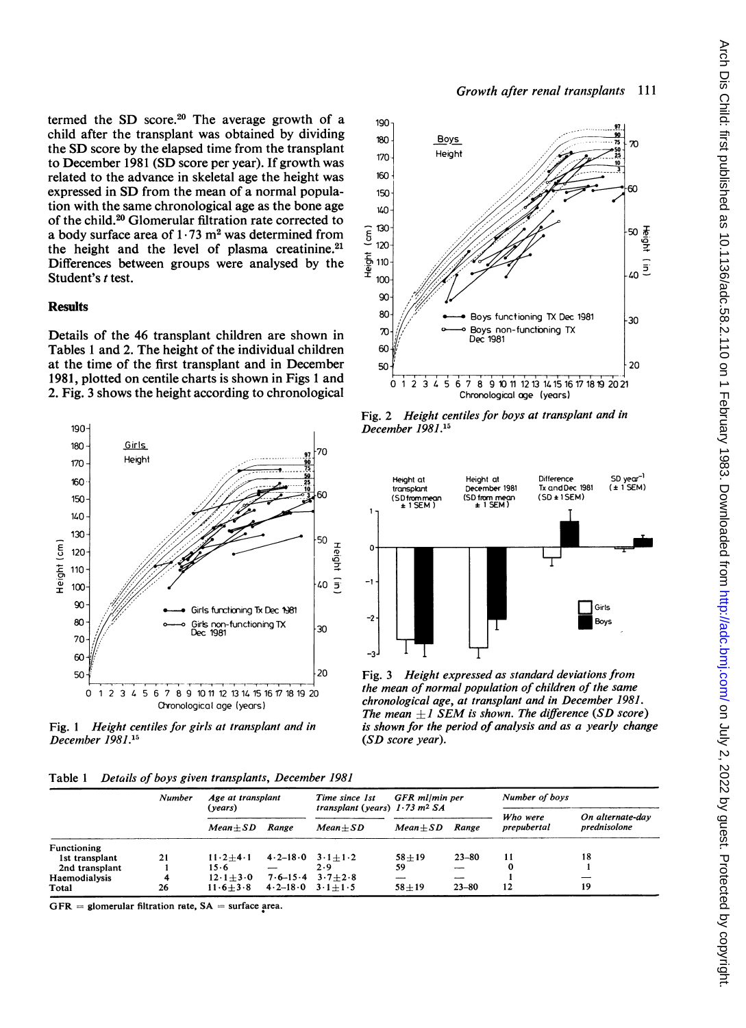termed the SD score.20 The average growth of a child after the transplant was obtained by dividing the SD score by the elapsed time from the transplant to December 1981 (SD score per year). If growth was related to the advance in skeletal age the height was expressed in SD from the mean of a normal population with the same chronological age as the bone age of the child.20 Glomerular filtration rate corrected to a body surface area of  $1 \cdot 73$  m<sup>2</sup> was determined from the height and the level of plasma creatinine.<sup>21</sup> Differences between groups were analysed by the Student's t test.

## **Results**

Details of the 46 transplant children are shown in Tables <sup>1</sup> and 2. The height of the individual children at the time of the first transplant and in December 1981, plotted on centile charts is shown in Figs <sup>1</sup> and 2. Fig. 3 shows the height according to chronological



Fig. <sup>1</sup> Height centiles for girls at transplant and in December 1981.15

|  |  |  | Table 1 Details of boys given transplants, December 1981 |  |  |
|--|--|--|----------------------------------------------------------|--|--|
|--|--|--|----------------------------------------------------------|--|--|

|                | Number | Age at transplant<br>(vears) |                          | Time since 1st<br>transplant (years) $1.73$ m <sup>2</sup> SA | GFR ml/min per |                          | Number of boys |                  |  |  |  |
|----------------|--------|------------------------------|--------------------------|---------------------------------------------------------------|----------------|--------------------------|----------------|------------------|--|--|--|
|                |        |                              |                          |                                                               |                |                          | Who were       | On alternate-day |  |  |  |
|                |        | $Mean + SD$                  | Range                    | $Mean + SD$                                                   | $Mean + SD$    | Range                    | prepubertal    | prednisolone     |  |  |  |
| Functioning    |        |                              |                          |                                                               |                |                          |                |                  |  |  |  |
| 1st transplant | 21     | $11 \cdot 2 + 4 \cdot 1$     | $4 \cdot 2 - 18 \cdot 0$ | $3 \cdot 1 + 1 \cdot 2$                                       | $58 + 19$      | $23 - 80$                | 11             | 18               |  |  |  |
| 2nd transplant |        | 15.6                         |                          | 2.9                                                           | 59             |                          |                |                  |  |  |  |
| Haemodialysis  | 4      | $12 \cdot 1 + 3 \cdot 0$     |                          | $7.6 - 15.4$ $3.7 + 2.8$                                      |                | $\overline{\phantom{a}}$ |                |                  |  |  |  |
| Total          | 26     | $11.6 + 3.8$                 | $4.2 - 18.0$ $3.1 + 1.5$ |                                                               | $58 + 19$      | $23 - 80$                | 12             | 19               |  |  |  |

 $GFR =$  glomerular filtration rate,  $SA =$  surface area.



Fig. 2 Height centiles for boys at transplant and in December 1981.'5



Fig. 3 Height expressed as standard deviations from the mean of normal population of children of the same chronological age, at transplant and in December 1981. The mean  $+1$  SEM is shown. The difference (SD score) is shown for the period of analysis and as a yearly change (SD score year).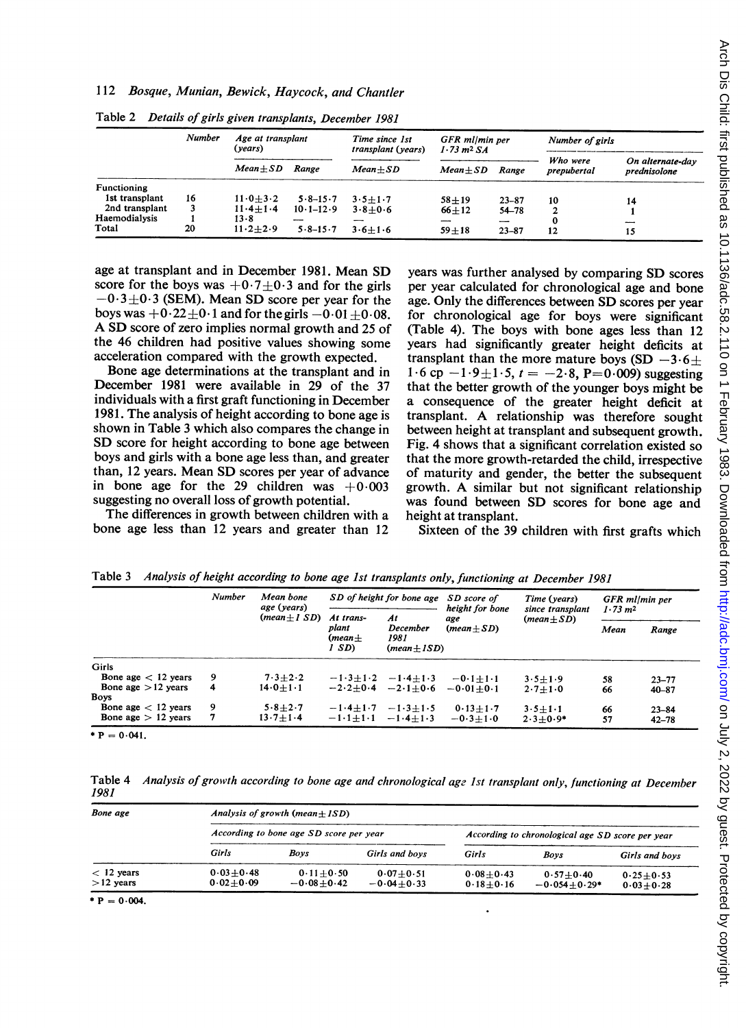## 112 Bosque, Munian, Bewick, Haycock, and Chantler

|                | <b>Number</b> | Age at transplant<br>(vears) |               | Time since 1st<br>transplant (years) | GFR ml/min per<br>$1.73 \text{ m}^2 \text{ S}$ A |                          | Number of girls         |                                  |
|----------------|---------------|------------------------------|---------------|--------------------------------------|--------------------------------------------------|--------------------------|-------------------------|----------------------------------|
|                |               | $Mean + SD$                  | Range         | $Mean + SD$                          | $Mean + SD$                                      | Range                    | Who were<br>prepubertal | On alternate-day<br>prednisolone |
| Functioning    |               |                              |               |                                      |                                                  |                          |                         |                                  |
| 1st transplant | 16            | $11.0 + 3.2$                 | $5.8 - 15.7$  | $3.5 + 1.7$                          | $58 + 19$                                        | $23 - 87$                | 10                      | 14                               |
| 2nd transplant | 3             | $11.4 + 1.4$                 | $10.1 - 12.9$ | $3.8 + 0.6$                          | $66 + 12$                                        | $54 - 78$                |                         |                                  |
| Haemodialysis  |               | $13 - 8$                     | ---           | $-$                                  | ---                                              | $\overline{\phantom{a}}$ |                         | --                               |
| Total          | 20            | $11.2 + 2.9$                 | $5.8 - 15.7$  | $3.6 + 1.6$                          | $59 + 18$                                        | $23 - 87$                | 12                      | 15                               |

Table 2 Details of girls given transplants, December 1981

age at transplant and in December 1981. Mean SD years was further analysed by comparing SD scores score for the boys was  $+0.7 \pm 0.3$  and for the girls per year calculated for chronological age and bone score for the boys was  $+0.7\pm0.3$  and for the girls  $-0.3\pm0.3$  (SEM). Mean SD score per year for the  $-0.3 \pm 0.3$  (SEM). Mean SD score per year for the age. Only the differences between SD scores per year boys was  $+0.22 \pm 0.1$  and for the girls  $-0.01 + 0.08$ , for chronological age for boys were significant A SD score of zero implies normal growth and 25 of the 46 children had positive values showing some the 46 children had positive values showing some years had significantly greater height deficits at acceleration compared with the growth expected. transplant than the more mature boys  $(SD - 3.6 +$ 

Bone age determinations at the transplant and in  $1 \cdot 6$  cp  $-1 \cdot 9 \pm 1 \cdot 5$ ,  $t = -2 \cdot 8$ , P=0.009) suggesting December 1981 were available in 29 of the 37 that the better growth of the vounger boys might be December 1981 were available in 29 of the 37 that the better growth of the younger boys might be individuals with a first graft functioning in December a consequence of the greater height deficit at individuals with a first graft functioning in December a consequence of the greater height deficit at 1981. The analysis of height according to bone age is transplant. A relationship was therefore sought 1981. The analysis of height according to bone age is transplant. A relationship was therefore sought shown in Table 3 which also compares the change in between height at transplant and subsequent growth. shown in Table 3 which also compares the change in between height at transplant and subsequent growth.<br>SD score for height according to bone age between Fig. 4 shows that a significant correlation existed so boys and girls with a bone age less than, and greater than, 12 years. Mean SD scores per year of advance than, 12 years. Mean SD scores per year of advance of maturity and gender, the better the subsequent in bone age for the 29 children was  $+0.003$  growth. A similar but not significant relationship in bone age for the 29 children was  $+0.003$  growth. A similar but not significant relationship suggesting no overall loss of growth potential. was found between SD scores for bone age and

The differences in growth between children with a bone age less than 12 years and greater than 12

for chronological age for boys were significant (Table 4). The boys with bone ages less than 12 celeration compared with the growth expected. transplant than the more mature boys (SD  $-3.6\pm$  Bone age determinations at the transplant and in  $1.6$  cp  $-1.9+1.5$ ,  $t = -2.8$ , P=0.009) suggesting Fig. 4 shows that a significant correlation existed so that the more growth-retarded the child, irrespective was found between SD scores for bone age and height at transplant.

Sixteen of the 39 children with first grafts which

|                       | <b>Number</b> | Mean bone<br>age (years)<br>$(mean \pm 1 SD)$ | SD of height for bone age SD score of |                                             |                                                  | Time (years)                        | GFR ml/min per      |           |
|-----------------------|---------------|-----------------------------------------------|---------------------------------------|---------------------------------------------|--------------------------------------------------|-------------------------------------|---------------------|-----------|
|                       |               |                                               | At trans-                             | At                                          | height for bone<br>age<br>$(\text{mean} \pm SD)$ | since transplant<br>$(mean \pm SD)$ | 1.73 m <sup>2</sup> |           |
|                       |               |                                               | plant<br>(mean+<br>I SD)              | <b>December</b><br>1981<br>$(mean \pm ISD)$ |                                                  |                                     | Mean                | Range     |
| Girls                 |               |                                               |                                       |                                             |                                                  |                                     |                     |           |
| Bone age $<$ 12 years | 9             | $7.3 + 2.2$                                   | $-1.3 + 1.2$                          | $-1.4 + 1.3$                                | $-0.1 + 1.1$                                     | $3.5 + 1.9$                         | 58                  | $23 - 77$ |
| Bone age $>12$ vears  | 4             | $14.0 + 1.1$                                  | $-2.2 + 0.4$                          | $-2.1 + 0.6$                                | $-0.01 + 0.1$                                    | $2.7 + 1.0$                         | 66                  | $40 - 87$ |
| <b>Boys</b>           |               |                                               |                                       |                                             |                                                  |                                     |                     |           |
| Bone age $<$ 12 years | 9             | $5.8 + 2.7$                                   | $-1.4 + 1.7$                          | $-1.3 + 1.5$                                | $0.13 + 1.7$                                     | $3.5 + 1.1$                         | 66                  | $23 - 84$ |
| Bone age $> 12$ years |               | $13.7 + 1.4$                                  | $-1.1 + 1.1$                          | $-1.4 + 1.3$                                | $-0.3 + 1.0$                                     | $2.3 + 0.9*$                        | 57                  | $42 - 78$ |

Table <sup>3</sup> Analysis of height according to bone age Ist transplants only, functioning at December 1981

 $* P = 0.041$ .

Table 4 Analysis of grovth according to bone age and chronological age Ist transplanit only, functioning at December 1981

| Bone age                    | Analysis of growth (mean $\pm$ ISD) |                                         |                                 |                                                  |                                   |                                |  |  |  |  |
|-----------------------------|-------------------------------------|-----------------------------------------|---------------------------------|--------------------------------------------------|-----------------------------------|--------------------------------|--|--|--|--|
|                             |                                     | According to bone age SD score per year |                                 | According to chronological age SD score per year |                                   |                                |  |  |  |  |
|                             | Girls                               | Boys                                    | Girls and boys                  | <b>Girls</b>                                     | Bovs                              | Girls and boys                 |  |  |  |  |
| $<$ 12 years<br>$>12$ years | $0.03 + 0.48$<br>$0.02 + 0.09$      | $0.11 + 0.50$<br>$-0.08 + 0.42$         | $0.07 + 0.51$<br>$-0.04 + 0.33$ | $0.08 + 0.43$<br>$0.18 + 0.16$                   | $0.57 + 0.40$<br>$-0.054 + 0.29*$ | $0.25 + 0.53$<br>$0.03 + 0.28$ |  |  |  |  |

 $* P = 0.004$ .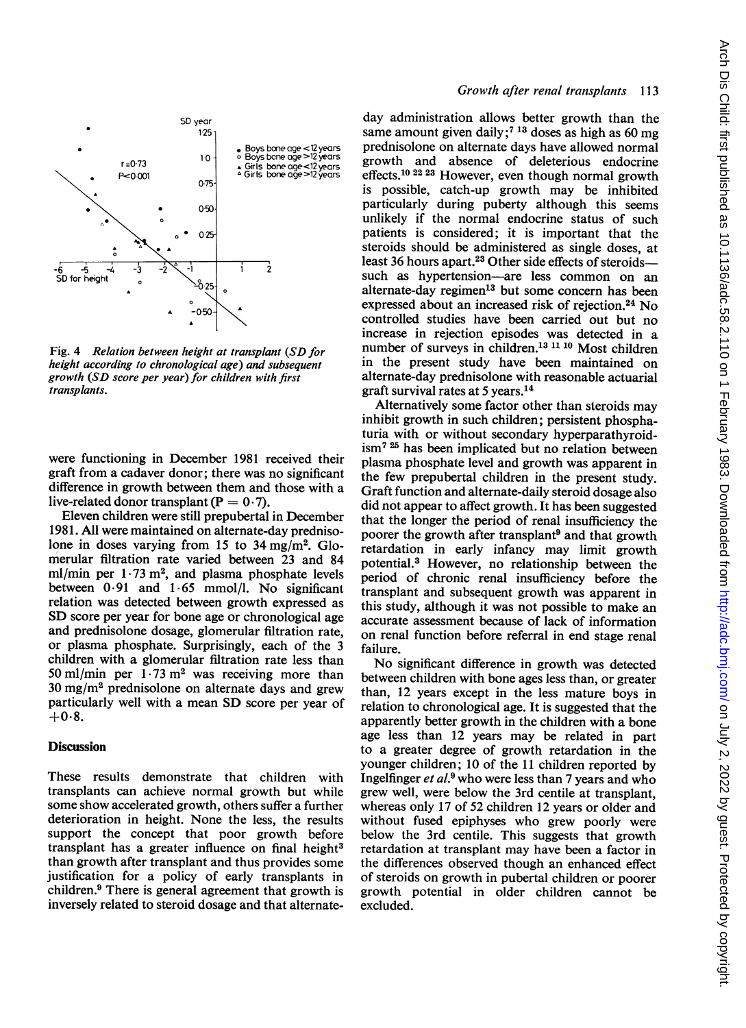

Fig. 4 Relation between height at transplant (SD for height according to chronological age) and subsequent growth (SD score per year) for children with first transplants.

were functioning in December 1981 received their graft from a cadaver donor; there was no significant difference in growth between them and those with a live-related donor transplant ( $P = 0.7$ ).

Eleven children were still prepubertal in December 1981. All were maintained on alternate-day prednisolone in doses varying from 15 to  $34 \text{ mg/m}^2$ . Glomerular filtration rate varied between 23 and 84 ml/min per  $1.73$  m<sup>2</sup>, and plasma phosphate levels between  $0.91$  and  $1.65$  mmol/l. No significant relation was detected between growth expressed as SD score per year for bone age or chronological age and prednisolone dosage, glomerular filtration rate, or plasma phosphate. Surprisingly, each of the 3 children with a glomerular filtration rate less than 50 ml/min per  $1.73 \text{ m}^2$  was receiving more than  $30 \text{ mg/m}^2$  prednisolone on alternate days and grew particularly well with a mean SD score per year of  $+0.8.$ 

### **Discussion**

These results demonstrate that children with transplants can achieve normal growth but while some show accelerated growth, others suffer a further deterioration in height. None the less, the results support the concept that poor growth before transplant has a greater influence on final height $3$ than growth after transplant and thus provides some justification for a policy of early transplants in children.9 There is general agreement that growth is inversely related to steroid dosage and that alternate-

## Growth after renal transplants 113

day administration allows better growth than the same amount given daily;<sup>7 13</sup> doses as high as 60 mg prednisolone on alternate days have allowed normal growth and absence of deleterious endocrine effects.<sup>10 22 23</sup> However, even though normal growth is possible, catch-up growth may be inhibited particularly during puberty although this seems unlikely if the normal endocrine status of such patients is considered; it is important that the steroids should be administered as single doses, at least 36 hours apart.<sup>23</sup> Other side effects of steroidssuch as hypertension-are less common on an alternate-day regimen'3 but some concern has been expressed about an increased risk of rejection.24 No controlled studies have been carried out but no increase in rejection episodes was detected in a number of surveys in children.<sup>13 11 10</sup> Most children in the present study have been maintained on alternate-day prednisolone with reasonable actuarial graft survival rates at 5 years.'4

Alternatively some factor other than steroids may inhibit growth in such children; persistent phosphaturia with or without secondary hyperparathyroidism7 <sup>25</sup> has been implicated but no relation between plasma phosphate level and growth was apparent in the few prepubertal children in the present study. Graft function and alternate-daily steroid dosage also did not appear to affect growth. It has been suggested that the longer the period of renal insufficiency the poorer the growth after transplant<sup>9</sup> and that growth retardation in early infancy may limit growth potential.3 However, no relationship between the period of chronic renal insufficiency before the transplant and subsequent growth was apparent in this study, although it was not possible to make an accurate assessment because of lack of information on renal function before referral in end stage renal failure.

No significant difference in growth was detected between children with bone ages less than, or greater than, 12 years except in the less mature boys in relation to chronological age. It is suggested that the apparently better growth in the children with a bone age less than 12 years may be related in part to a greater degree of growth retardation in the younger children; 10 of the <sup>11</sup> children reported by Ingelfinger et al.<sup>9</sup> who were less than 7 years and who grew well, were below the 3rd centile at transplant, whereas only 17 of 52 children 12 years or older and without fused epiphyses who grew poorly were below the 3rd centile. This suggests that growth retardation at transplant may have been a factor in the differences observed though an enhanced effect of steroids on growth in pubertal children or poorer growth potential in older children cannot be excluded.